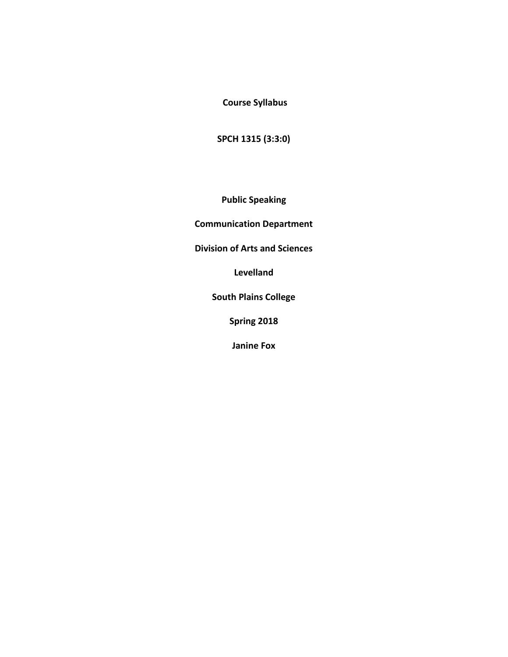**Course Syllabus** 

**SPCH 1315 (3:3:0)** 

**Public Speaking**

**Communication Department** 

**Division of Arts and Sciences** 

**Levelland**

**South Plains College** 

**Spring 2018**

**Janine Fox**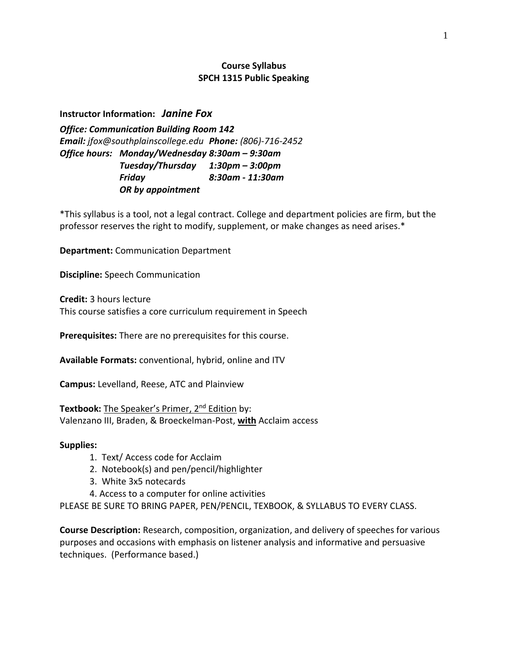# **Course Syllabus SPCH 1315 Public Speaking**

**Instructor Information:** *Janine Fox*

*Office: Communication Building Room 142 Email: jfox@southplainscollege.edu Phone: (806)-716-2452 Office hours: Monday/Wednesday 8:30am – 9:30am Tuesday/Thursday 1:30pm – 3:00pm Friday 8:30am - 11:30am OR by appointment*

\*This syllabus is a tool, not a legal contract. College and department policies are firm, but the professor reserves the right to modify, supplement, or make changes as need arises.\*

**Department:** Communication Department

**Discipline:** Speech Communication

**Credit:** 3 hours lecture This course satisfies a core curriculum requirement in Speech

**Prerequisites:** There are no prerequisites for this course.

**Available Formats:** conventional, hybrid, online and ITV

**Campus:** Levelland, Reese, ATC and Plainview

**Textbook:** The Speaker's Primer, 2<sup>nd</sup> Edition by: Valenzano III, Braden, & Broeckelman-Post, **with** Acclaim access

#### **Supplies:**

- 1. Text/ Access code for Acclaim
- 2. Notebook(s) and pen/pencil/highlighter
- 3. White 3x5 notecards
- 4. Access to a computer for online activities

PLEASE BE SURE TO BRING PAPER, PEN/PENCIL, TEXBOOK, & SYLLABUS TO EVERY CLASS.

**Course Description:** Research, composition, organization, and delivery of speeches for various purposes and occasions with emphasis on listener analysis and informative and persuasive techniques. (Performance based.)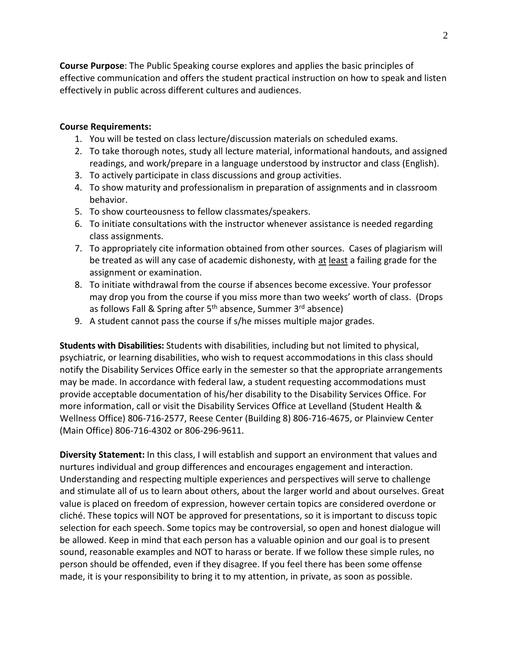**Course Purpose**: The Public Speaking course explores and applies the basic principles of effective communication and offers the student practical instruction on how to speak and listen effectively in public across different cultures and audiences.

### **Course Requirements:**

- 1. You will be tested on class lecture/discussion materials on scheduled exams.
- 2. To take thorough notes, study all lecture material, informational handouts, and assigned readings, and work/prepare in a language understood by instructor and class (English).
- 3. To actively participate in class discussions and group activities.
- 4. To show maturity and professionalism in preparation of assignments and in classroom behavior.
- 5. To show courteousness to fellow classmates/speakers.
- 6. To initiate consultations with the instructor whenever assistance is needed regarding class assignments.
- 7. To appropriately cite information obtained from other sources. Cases of plagiarism will be treated as will any case of academic dishonesty, with at least a failing grade for the assignment or examination.
- 8. To initiate withdrawal from the course if absences become excessive. Your professor may drop you from the course if you miss more than two weeks' worth of class. (Drops as follows Fall & Spring after 5<sup>th</sup> absence, Summer 3<sup>rd</sup> absence)
- 9. A student cannot pass the course if s/he misses multiple major grades.

**Students with Disabilities:** Students with disabilities, including but not limited to physical, psychiatric, or learning disabilities, who wish to request accommodations in this class should notify the Disability Services Office early in the semester so that the appropriate arrangements may be made. In accordance with federal law, a student requesting accommodations must provide acceptable documentation of his/her disability to the Disability Services Office. For more information, call or visit the Disability Services Office at Levelland (Student Health & Wellness Office) 806-716-2577, Reese Center (Building 8) 806-716-4675, or Plainview Center (Main Office) 806-716-4302 or 806-296-9611.

**Diversity Statement:** In this class, I will establish and support an environment that values and nurtures individual and group differences and encourages engagement and interaction. Understanding and respecting multiple experiences and perspectives will serve to challenge and stimulate all of us to learn about others, about the larger world and about ourselves. Great value is placed on freedom of expression, however certain topics are considered overdone or cliché. These topics will NOT be approved for presentations, so it is important to discuss topic selection for each speech. Some topics may be controversial, so open and honest dialogue will be allowed. Keep in mind that each person has a valuable opinion and our goal is to present sound, reasonable examples and NOT to harass or berate. If we follow these simple rules, no person should be offended, even if they disagree. If you feel there has been some offense made, it is your responsibility to bring it to my attention, in private, as soon as possible.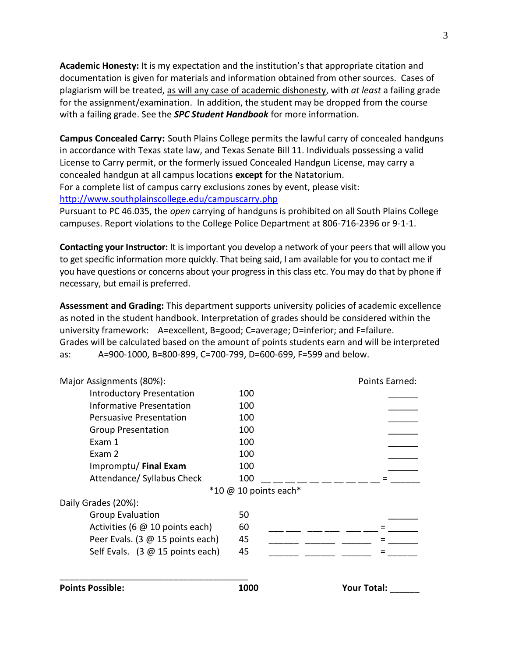**Academic Honesty:** It is my expectation and the institution's that appropriate citation and documentation is given for materials and information obtained from other sources. Cases of plagiarism will be treated, as will any case of academic dishonesty, with *at least* a failing grade for the assignment/examination. In addition, the student may be dropped from the course with a failing grade. See the *SPC Student Handbook* for more information.

**Campus Concealed Carry:** South Plains College permits the lawful carry of concealed handguns in accordance with Texas state law, and Texas Senate Bill 11. Individuals possessing a valid License to Carry permit, or the formerly issued Concealed Handgun License, may carry a concealed handgun at all campus locations **except** for the Natatorium. For a complete list of campus carry exclusions zones by event, please visit:

<http://www.southplainscollege.edu/campuscarry.php>

Pursuant to PC 46.035, the *open* carrying of handguns is prohibited on all South Plains College campuses. Report violations to the College Police Department at 806-716-2396 or 9-1-1.

**Contacting your Instructor:** It is important you develop a network of your peers that will allow you to get specific information more quickly. That being said, I am available for you to contact me if you have questions or concerns about your progress in this class etc. You may do that by phone if necessary, but email is preferred.

**Assessment and Grading:** This department supports university policies of academic excellence as noted in the student handbook. Interpretation of grades should be considered within the university framework: A=excellent, B=good; C=average; D=inferior; and F=failure. Grades will be calculated based on the amount of points students earn and will be interpreted as: A=900-1000, B=800-899, C=700-799, D=600-699, F=599 and below.

| Major Assignments (80%):                         |                                                        | Points Earned:     |
|--------------------------------------------------|--------------------------------------------------------|--------------------|
| <b>Introductory Presentation</b>                 | 100                                                    |                    |
| Informative Presentation                         | 100                                                    |                    |
| <b>Persuasive Presentation</b>                   | 100                                                    |                    |
| <b>Group Presentation</b>                        | 100                                                    |                    |
| Exam 1                                           | 100                                                    |                    |
| Exam 2                                           | 100                                                    |                    |
| Impromptu/ Final Exam                            | 100                                                    |                    |
| Attendance/ Syllabus Check                       | 100                                                    |                    |
|                                                  | $*10 \text{ } \textcircled{a} 10 \text{ points each*}$ |                    |
| Daily Grades (20%):                              |                                                        |                    |
| <b>Group Evaluation</b>                          | 50                                                     |                    |
| Activities (6 @ 10 points each)                  | 60                                                     |                    |
| Peer Evals. (3 @ 15 points each)                 | 45                                                     |                    |
| Self Evals. $(3 \oslash 15 \text{ points each})$ | 45                                                     |                    |
| <b>Points Possible:</b>                          | 1000                                                   | <b>Your Total:</b> |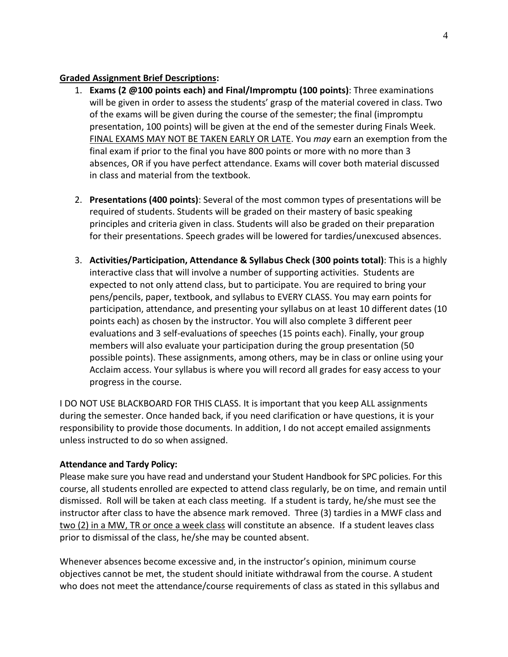# **Graded Assignment Brief Descriptions:**

- 1. **Exams (2 @100 points each) and Final/Impromptu (100 points)**: Three examinations will be given in order to assess the students' grasp of the material covered in class. Two of the exams will be given during the course of the semester; the final (impromptu presentation, 100 points) will be given at the end of the semester during Finals Week. FINAL EXAMS MAY NOT BE TAKEN EARLY OR LATE. You *may* earn an exemption from the final exam if prior to the final you have 800 points or more with no more than 3 absences, OR if you have perfect attendance. Exams will cover both material discussed in class and material from the textbook.
- 2. **Presentations (400 points)**: Several of the most common types of presentations will be required of students. Students will be graded on their mastery of basic speaking principles and criteria given in class. Students will also be graded on their preparation for their presentations. Speech grades will be lowered for tardies/unexcused absences.
- 3. **Activities/Participation, Attendance & Syllabus Check (300 points total)**: This is a highly interactive class that will involve a number of supporting activities. Students are expected to not only attend class, but to participate. You are required to bring your pens/pencils, paper, textbook, and syllabus to EVERY CLASS. You may earn points for participation, attendance, and presenting your syllabus on at least 10 different dates (10 points each) as chosen by the instructor. You will also complete 3 different peer evaluations and 3 self-evaluations of speeches (15 points each). Finally, your group members will also evaluate your participation during the group presentation (50 possible points). These assignments, among others, may be in class or online using your Acclaim access. Your syllabus is where you will record all grades for easy access to your progress in the course.

I DO NOT USE BLACKBOARD FOR THIS CLASS. It is important that you keep ALL assignments during the semester. Once handed back, if you need clarification or have questions, it is your responsibility to provide those documents. In addition, I do not accept emailed assignments unless instructed to do so when assigned.

# **Attendance and Tardy Policy:**

Please make sure you have read and understand your Student Handbook for SPC policies. For this course, all students enrolled are expected to attend class regularly, be on time, and remain until dismissed. Roll will be taken at each class meeting. If a student is tardy, he/she must see the instructor after class to have the absence mark removed. Three (3) tardies in a MWF class and two (2) in a MW, TR or once a week class will constitute an absence. If a student leaves class prior to dismissal of the class, he/she may be counted absent.

Whenever absences become excessive and, in the instructor's opinion, minimum course objectives cannot be met, the student should initiate withdrawal from the course. A student who does not meet the attendance/course requirements of class as stated in this syllabus and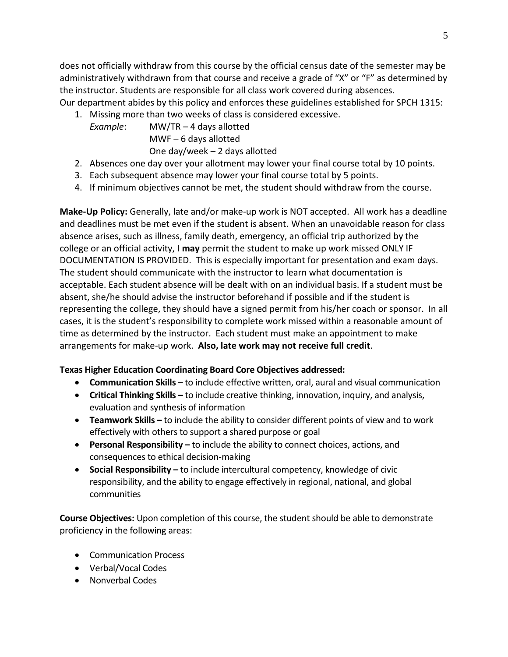does not officially withdraw from this course by the official census date of the semester may be administratively withdrawn from that course and receive a grade of "X" or "F" as determined by the instructor. Students are responsible for all class work covered during absences.

Our department abides by this policy and enforces these guidelines established for SPCH 1315:

- 1. Missing more than two weeks of class is considered excessive.
	- *Example*: MW/TR 4 days allotted MWF – 6 days allotted One day/week – 2 days allotted
- 2. Absences one day over your allotment may lower your final course total by 10 points.
- 3. Each subsequent absence may lower your final course total by 5 points.
- 4. If minimum objectives cannot be met, the student should withdraw from the course.

**Make-Up Policy:** Generally, late and/or make-up work is NOT accepted. All work has a deadline and deadlines must be met even if the student is absent. When an unavoidable reason for class absence arises, such as illness, family death, emergency, an official trip authorized by the college or an official activity, I **may** permit the student to make up work missed ONLY IF DOCUMENTATION IS PROVIDED. This is especially important for presentation and exam days. The student should communicate with the instructor to learn what documentation is acceptable. Each student absence will be dealt with on an individual basis. If a student must be absent, she/he should advise the instructor beforehand if possible and if the student is representing the college, they should have a signed permit from his/her coach or sponsor. In all cases, it is the student's responsibility to complete work missed within a reasonable amount of time as determined by the instructor. Each student must make an appointment to make arrangements for make-up work. **Also, late work may not receive full credit**.

# **Texas Higher Education Coordinating Board Core Objectives addressed:**

- **Communication Skills –** to include effective written, oral, aural and visual communication
- **Critical Thinking Skills –** to include creative thinking, innovation, inquiry, and analysis, evaluation and synthesis of information
- **Teamwork Skills –** to include the ability to consider different points of view and to work effectively with others to support a shared purpose or goal
- **•** Personal Responsibility to include the ability to connect choices, actions, and consequences to ethical decision-making
- **Social Responsibility –** to include intercultural competency, knowledge of civic responsibility, and the ability to engage effectively in regional, national, and global communities

**Course Objectives:** Upon completion of this course, the student should be able to demonstrate proficiency in the following areas:

- Communication Process
- Verbal/Vocal Codes
- Nonverbal Codes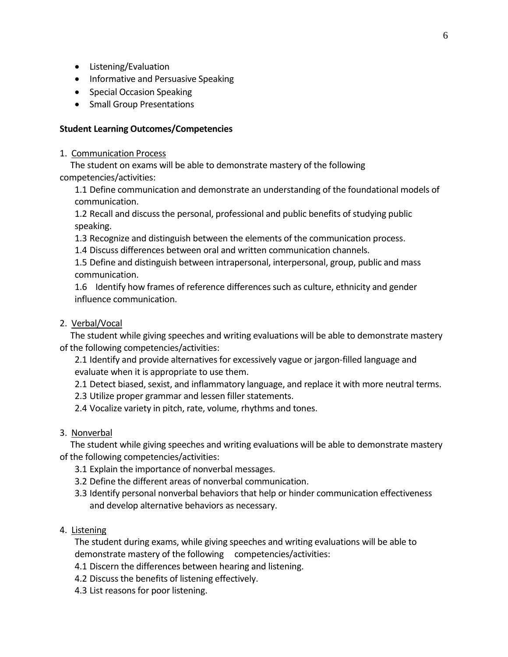- Listening/Evaluation
- Informative and Persuasive Speaking
- Special Occasion Speaking
- Small Group Presentations

### **Student Learning Outcomes/Competencies**

#### 1. Communication Process

 The student on exams will be able to demonstrate mastery of the following competencies/activities:

1.1 Define communication and demonstrate an understanding of the foundational models of communication.

1.2 Recall and discuss the personal, professional and public benefits of studying public speaking.

- 1.3 Recognize and distinguish between the elements of the communication process.
- 1.4 Discuss differences between oral and written communication channels.

1.5 Define and distinguish between intrapersonal, interpersonal, group, public and mass communication.

1.6 Identify how frames of reference differences such as culture, ethnicity and gender influence communication.

# 2. Verbal/Vocal

 The student while giving speeches and writing evaluations will be able to demonstrate mastery of the following competencies/activities:

2.1 Identify and provide alternatives for excessively vague or jargon-filled language and evaluate when it is appropriate to use them.

2.1 Detect biased, sexist, and inflammatory language, and replace it with more neutral terms.

2.3 Utilize proper grammar and lessen filler statements.

2.4 Vocalize variety in pitch, rate, volume, rhythms and tones.

## 3. Nonverbal

 The student while giving speeches and writing evaluations will be able to demonstrate mastery of the following competencies/activities:

- 3.1 Explain the importance of nonverbal messages.
- 3.2 Define the different areas of nonverbal communication.
- 3.3 Identify personal nonverbal behaviors that help or hinder communication effectiveness and develop alternative behaviors as necessary.

## 4. Listening

The student during exams, while giving speeches and writing evaluations will be able to demonstrate mastery of the following competencies/activities:

- 4.1 Discern the differences between hearing and listening.
- 4.2 Discuss the benefits of listening effectively.
- 4.3 List reasons for poor listening.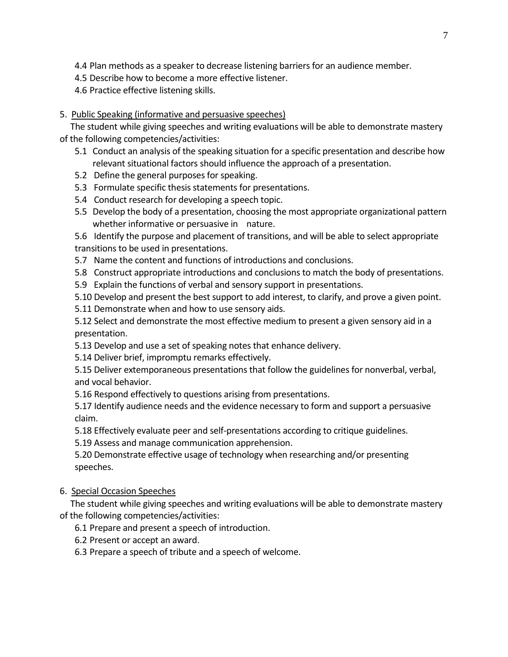- 4.4 Plan methods as a speaker to decrease listening barriers for an audience member.
- 4.5 Describe how to become a more effective listener.
- 4.6 Practice effective listening skills.

# 5. Public Speaking (informative and persuasive speeches)

 The student while giving speeches and writing evaluations will be able to demonstrate mastery of the following competencies/activities:

- 5.1 Conduct an analysis of the speaking situation for a specific presentation and describe how relevant situational factors should influence the approach of a presentation.
- 5.2 Define the general purposes for speaking.
- 5.3 Formulate specific thesis statements for presentations.
- 5.4 Conduct research for developing a speech topic.
- 5.5 Develop the body of a presentation, choosing the most appropriate organizational pattern whether informative or persuasive in nature.

5.6 Identify the purpose and placement of transitions, and will be able to select appropriate transitions to be used in presentations.

- 5.7 Name the content and functions of introductions and conclusions.
- 5.8 Construct appropriate introductions and conclusions to match the body of presentations.
- 5.9 Explain the functions of verbal and sensory support in presentations.
- 5.10 Develop and present the best support to add interest, to clarify, and prove a given point.
- 5.11 Demonstrate when and how to use sensory aids.

5.12 Select and demonstrate the most effective medium to present a given sensory aid in a presentation.

- 5.13 Develop and use a set of speaking notes that enhance delivery.
- 5.14 Deliver brief, impromptu remarks effectively.
- 5.15 Deliver extemporaneous presentations that follow the guidelines for nonverbal, verbal, and vocal behavior.
- 5.16 Respond effectively to questions arising from presentations.

5.17 Identify audience needs and the evidence necessary to form and support a persuasive claim.

5.18 Effectively evaluate peer and self-presentations according to critique guidelines.

5.19 Assess and manage communication apprehension.

5.20 Demonstrate effective usage of technology when researching and/or presenting speeches.

## 6. Special Occasion Speeches

 The student while giving speeches and writing evaluations will be able to demonstrate mastery of the following competencies/activities:

6.1 Prepare and present a speech of introduction.

- 6.2 Present or accept an award.
- 6.3 Prepare a speech of tribute and a speech of welcome.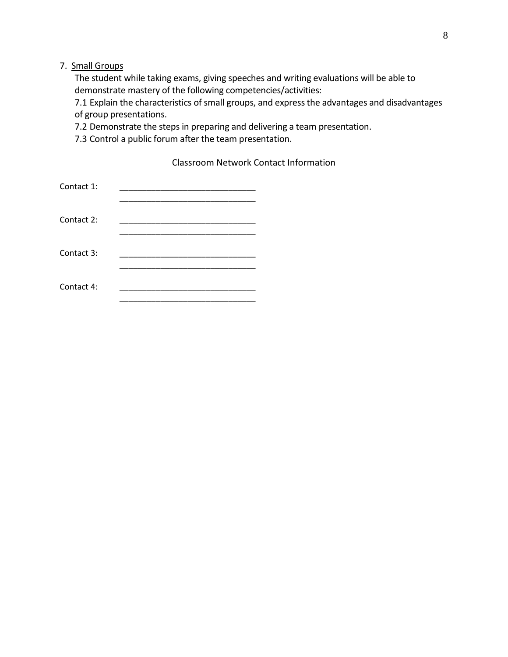# 7. Small Groups

The student while taking exams, giving speeches and writing evaluations will be able to demonstrate mastery of the following competencies/activities:

7.1 Explain the characteristics of small groups, and express the advantages and disadvantages of group presentations.

7.2 Demonstrate the steps in preparing and delivering a team presentation.

7.3 Control a public forum after the team presentation.

Classroom Network Contact Information

| Contact 1: |  |
|------------|--|
| Contact 2: |  |
| Contact 3: |  |
| Contact 4: |  |